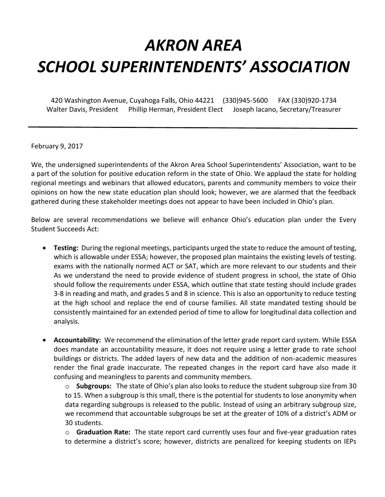## *AKRON AREA SCHOOL SUPERINTENDENTS' ASSOCIATION*

420 Washington Avenue, Cuyahoga Fal**l**s, Ohio 44221 (330)945-5600 FAX (330)920-1734 Walter Davis, President Phillip Herman, President Elect Joseph Iacano, Secretary/Treasurer

February 9, 2017

We, the undersigned superintendents of the Akron Area School Superintendents' Association, want to be a part of the solution for positive education reform in the state of Ohio. We applaud the state for holding regional meetings and webinars that allowed educators, parents and community members to voice their opinions on how the new state education plan should look; however, we are alarmed that the feedback gathered during these stakeholder meetings does not appear to have been included in Ohio's plan.

Below are several recommendations we believe will enhance Ohio's education plan under the Every Student Succeeds Act:

- **Testing:** During the regional meetings, participants urged the state to reduce the amount of testing, which is allowable under ESSA; however, the proposed plan maintains the existing levels of testing. exams with the nationally normed ACT or SAT, which are more relevant to our students and their As we understand the need to provide evidence of student progress in school, the state of Ohio should follow the requirements under ESSA, which outline that state testing should include grades 3-8 in reading and math, and grades 5 and 8 in science. This is also an opportunity to reduce testing at the high school and replace the end of course families. All state mandated testing should be consistently maintained for an extended period of time to allow for longitudinal data collection and analysis.
- **Accountability:** We recommend the elimination of the letter grade report card system. While ESSA does mandate an accountability measure, it does not require using a letter grade to rate school buildings or districts. The added layers of new data and the addition of non-academic measures render the final grade inaccurate. The repeated changes in the report card have also made it confusing and meaningless to parents and community members.

o **Subgroups:** The state of Ohio's plan also looks to reduce the student subgroup size from 30 to 15. When a subgroup is this small, there is the potential for students to lose anonymity when data regarding subgroups is released to the public. Instead of using an arbitrary subgroup size, we recommend that accountable subgroups be set at the greater of 10% of a district's ADM or 30 students.

o **Graduation Rate:** The state report card currently uses four and five-year graduation rates to determine a district's score; however, districts are penalized for keeping students on IEPs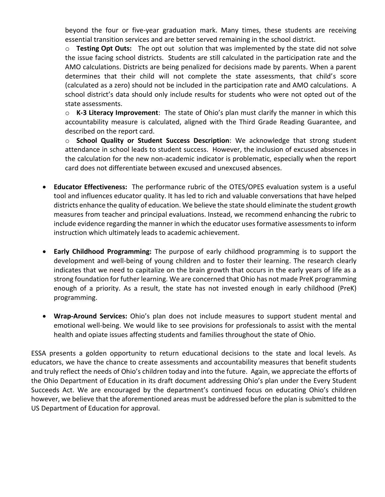beyond the four or five-year graduation mark. Many times, these students are receiving essential transition services and are better served remaining in the school district.

o **Testing Opt Outs:** The opt out solution that was implemented by the state did not solve the issue facing school districts. Students are still calculated in the participation rate and the AMO calculations. Districts are being penalized for decisions made by parents. When a parent determines that their child will not complete the state assessments, that child's score (calculated as a zero) should not be included in the participation rate and AMO calculations. A school district's data should only include results for students who were not opted out of the state assessments.

o **K-3 Literacy Improvement**: The state of Ohio's plan must clarify the manner in which this accountability measure is calculated, aligned with the Third Grade Reading Guarantee, and described on the report card.

o **School Quality or Student Success Description**: We acknowledge that strong student attendance in school leads to student success. However, the inclusion of excused absences in the calculation for the new non-academic indicator is problematic, especially when the report card does not differentiate between excused and unexcused absences.

- **Educator Effectiveness:** The performance rubric of the OTES/OPES evaluation system is a useful tool and influences educator quality. It has led to rich and valuable conversations that have helped districts enhance the quality of education. We believe the state should eliminate the student growth measures from teacher and principal evaluations. Instead, we recommend enhancing the rubric to include evidence regarding the manner in which the educator uses formative assessments to inform instruction which ultimately leads to academic achievement.
- **Early Childhood Programming:** The purpose of early childhood programming is to support the development and well-being of young children and to foster their learning. The research clearly indicates that we need to capitalize on the brain growth that occurs in the early years of life as a strong foundation for futher learning. We are concerned that Ohio has not made PreK programming enough of a priority. As a result, the state has not invested enough in early childhood (PreK) programming.
- **Wrap-Around Services:** Ohio's plan does not include measures to support student mental and emotional well-being. We would like to see provisions for professionals to assist with the mental health and opiate issues affecting students and families throughout the state of Ohio.

ESSA presents a golden opportunity to return educational decisions to the state and local levels. As educators, we have the chance to create assessments and accountability measures that benefit students and truly reflect the needs of Ohio's children today and into the future. Again, we appreciate the efforts of the Ohio Department of Education in its draft document addressing Ohio's plan under the Every Student Succeeds Act. We are encouraged by the department's continued focus on educating Ohio's children however, we believe that the aforementioned areas must be addressed before the plan is submitted to the US Department of Education for approval.